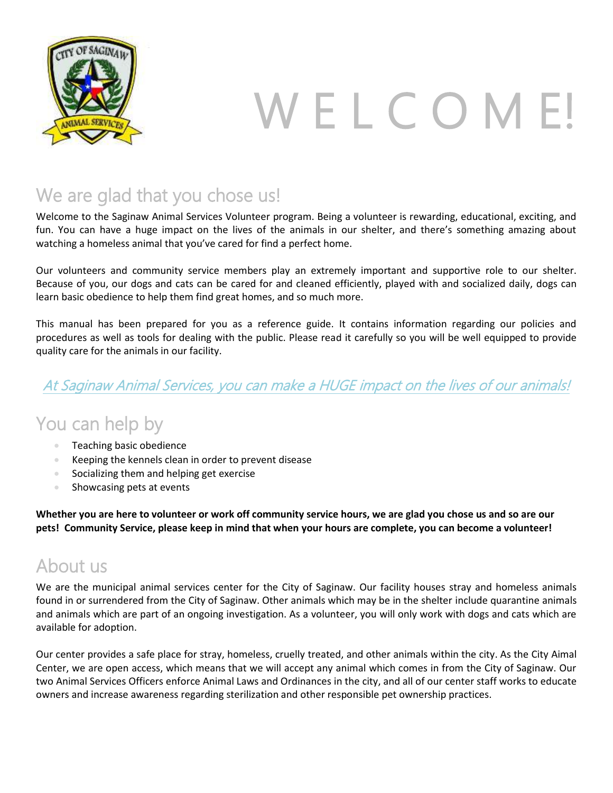

# W E L C O M E!

# We are glad that you chose us!

Welcome to the Saginaw Animal Services Volunteer program. Being a volunteer is rewarding, educational, exciting, and fun. You can have a huge impact on the lives of the animals in our shelter, and there's something amazing about watching a homeless animal that you've cared for find a perfect home.

Our volunteers and community service members play an extremely important and supportive role to our shelter. Because of you, our dogs and cats can be cared for and cleaned efficiently, played with and socialized daily, dogs can learn basic obedience to help them find great homes, and so much more.

This manual has been prepared for you as a reference guide. It contains information regarding our policies and procedures as well as tools for dealing with the public. Please read it carefully so you will be well equipped to provide quality care for the animals in our facility.

### At Saginaw Animal Services, you can make a HUGE impact on the lives of our animals!

# You can help by

- Teaching basic obedience
- Keeping the kennels clean in order to prevent disease
- Socializing them and helping get exercise
- Showcasing pets at events

**Whether you are here to volunteer or work off community service hours, we are glad you chose us and so are our pets! Community Service, please keep in mind that when your hours are complete, you can become a volunteer!**

# About us

We are the municipal animal services center for the City of Saginaw. Our facility houses stray and homeless animals found in or surrendered from the City of Saginaw. Other animals which may be in the shelter include quarantine animals and animals which are part of an ongoing investigation. As a volunteer, you will only work with dogs and cats which are available for adoption.

Our center provides a safe place for stray, homeless, cruelly treated, and other animals within the city. As the City Aimal Center, we are open access, which means that we will accept any animal which comes in from the City of Saginaw. Our two Animal Services Officers enforce Animal Laws and Ordinances in the city, and all of our center staff works to educate owners and increase awareness regarding sterilization and other responsible pet ownership practices.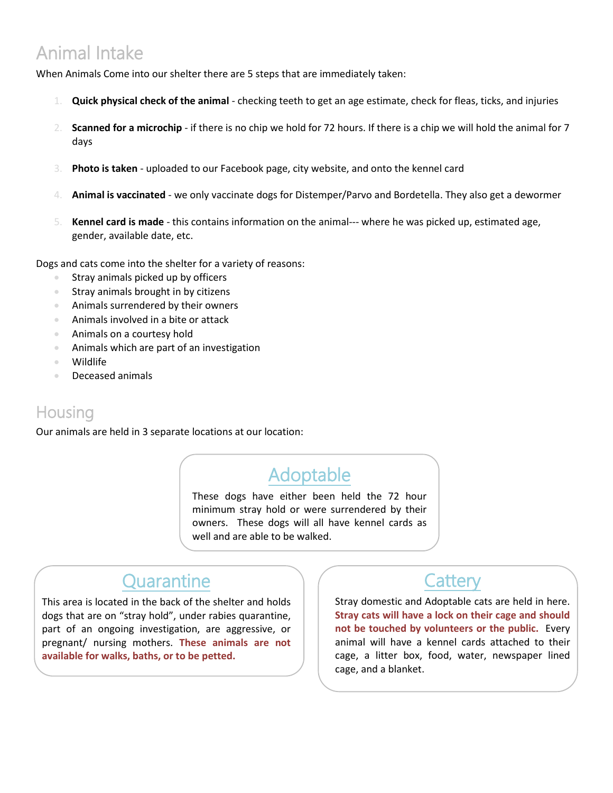# Animal Intake

When Animals Come into our shelter there are 5 steps that are immediately taken:

- 1. **Quick physical check of the animal** checking teeth to get an age estimate, check for fleas, ticks, and injuries
- 2. **Scanned for a microchip** if there is no chip we hold for 72 hours. If there is a chip we will hold the animal for 7 days
- 3. **Photo is taken** uploaded to our Facebook page, city website, and onto the kennel card
- 4. **Animal is vaccinated** we only vaccinate dogs for Distemper/Parvo and Bordetella. They also get a dewormer
- 5. **Kennel card is made** this contains information on the animal--- where he was picked up, estimated age, gender, available date, etc.

Dogs and cats come into the shelter for a variety of reasons:

- Stray animals picked up by officers
- **Stray animals brought in by citizens**
- Animals surrendered by their owners
- Animals involved in a bite or attack
- Animals on a courtesy hold
- Animals which are part of an investigation
- Wildlife
- Deceased animals

### **Housing**

í.

 $\overline{\phantom{0}}$ 

Our animals are held in 3 separate locations at our location:

# Adoptable

These dogs have either been held the 72 hour minimum stray hold or were surrendered by their owners. These dogs will all have kennel cards as well and are able to be walked.

# **Quarantine**

This area is located in the back of the shelter and holds dogs that are on "stray hold", under rabies quarantine, part of an ongoing investigation, are aggressive, or pregnant/ nursing mothers. **These animals are not available for walks, baths, or to be petted.**

### **Cattery**

Stray domestic and Adoptable cats are held in here. **Stray cats will have a lock on their cage and should not be touched by volunteers or the public.** Every animal will have a kennel cards attached to their cage, a litter box, food, water, newspaper lined cage, and a blanket.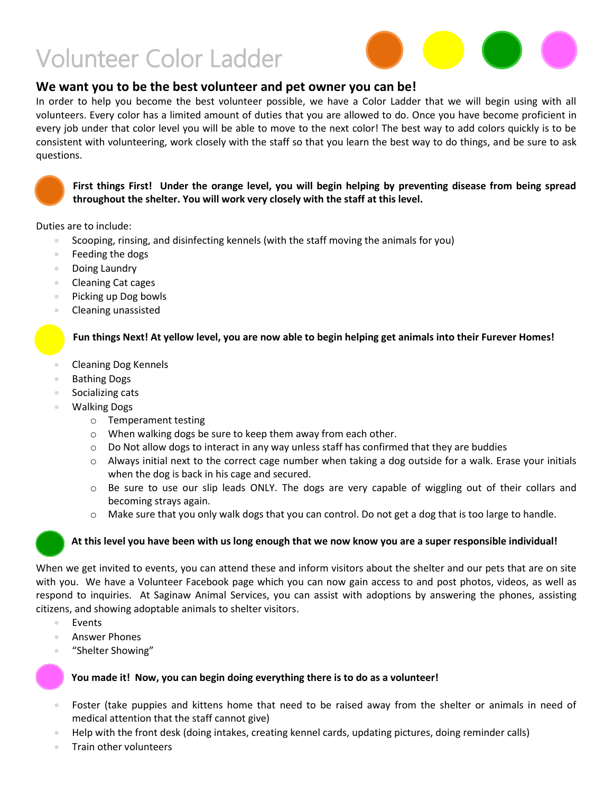# Volunteer Color Ladder



### **We want you to be the best volunteer and pet owner you can be!**

In order to help you become the best volunteer possible, we have a Color Ladder that we will begin using with all volunteers. Every color has a limited amount of duties that you are allowed to do. Once you have become proficient in every job under that color level you will be able to move to the next color! The best way to add colors quickly is to be consistent with volunteering, work closely with the staff so that you learn the best way to do things, and be sure to ask questions.



**First things First! Under the orange level, you will begin helping by preventing disease from being spread throughout the shelter. You will work very closely with the staff at this level.** 

Duties are to include:

- Scooping, rinsing, and disinfecting kennels (with the staff moving the animals for you)
- Feeding the dogs
- Doing Laundry
- Cleaning Cat cages
- Picking up Dog bowls
- Cleaning unassisted

#### **Fun things Next! At yellow level, you are now able to begin helping get animals into their Furever Homes!**

- Cleaning Dog Kennels
- Bathing Dogs
- Socializing cats
- Walking Dogs
	- o Temperament testing
	- o When walking dogs be sure to keep them away from each other.
	- $\circ$  Do Not allow dogs to interact in any way unless staff has confirmed that they are buddies
	- $\circ$  Always initial next to the correct cage number when taking a dog outside for a walk. Erase your initials when the dog is back in his cage and secured.
	- o Be sure to use our slip leads ONLY. The dogs are very capable of wiggling out of their collars and becoming strays again.
	- $\circ$  Make sure that you only walk dogs that you can control. Do not get a dog that is too large to handle.

### **At this level you have been with us long enough that we now know you are a super responsible individual!**

When we get invited to events, you can attend these and inform visitors about the shelter and our pets that are on site with you. We have a Volunteer Facebook page which you can now gain access to and post photos, videos, as well as respond to inquiries. At Saginaw Animal Services, you can assist with adoptions by answering the phones, assisting citizens, and showing adoptable animals to shelter visitors.

- Events
- Answer Phones
- "Shelter Showing"

#### **You made it! Now, you can begin doing everything there is to do as a volunteer!**

- Foster (take puppies and kittens home that need to be raised away from the shelter or animals in need of medical attention that the staff cannot give)
- Help with the front desk (doing intakes, creating kennel cards, updating pictures, doing reminder calls)
- Train other volunteers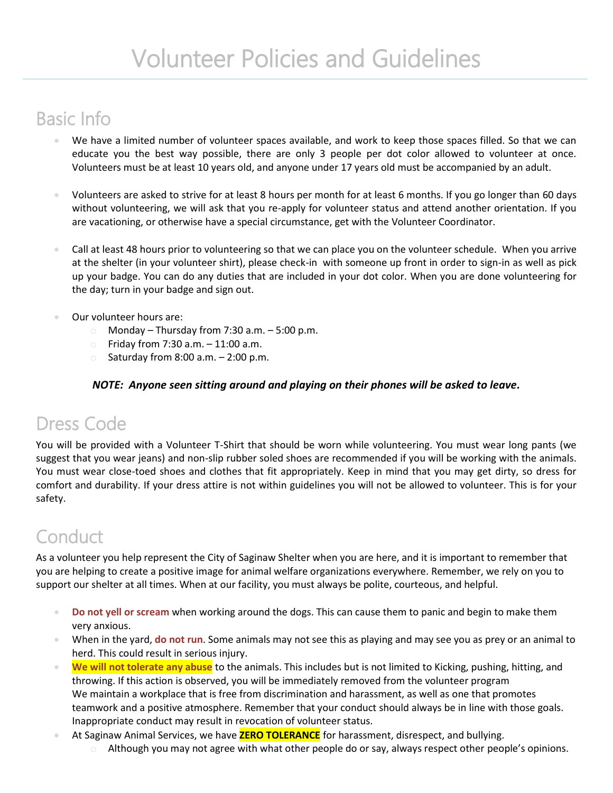# Basic Info

- We have a limited number of volunteer spaces available, and work to keep those spaces filled. So that we can educate you the best way possible, there are only 3 people per dot color allowed to volunteer at once. Volunteers must be at least 10 years old, and anyone under 17 years old must be accompanied by an adult.
- Volunteers are asked to strive for at least 8 hours per month for at least 6 months. If you go longer than 60 days without volunteering, we will ask that you re-apply for volunteer status and attend another orientation. If you are vacationing, or otherwise have a special circumstance, get with the Volunteer Coordinator.
- Call at least 48 hours prior to volunteering so that we can place you on the volunteer schedule. When you arrive at the shelter (in your volunteer shirt), please check-in with someone up front in order to sign-in as well as pick up your badge. You can do any duties that are included in your dot color. When you are done volunteering for the day; turn in your badge and sign out.
- Our volunteer hours are:
	- $\circ$  Monday Thursday from 7:30 a.m. 5:00 p.m.
	- $\degree$  Friday from 7:30 a.m.  $-11:00$  a.m.
	- Saturday from  $8:00$  a.m.  $-2:00$  p.m.

### *NOTE: Anyone seen sitting around and playing on their phones will be asked to leave.*

# Dress Code

You will be provided with a Volunteer T-Shirt that should be worn while volunteering. You must wear long pants (we suggest that you wear jeans) and non-slip rubber soled shoes are recommended if you will be working with the animals. You must wear close-toed shoes and clothes that fit appropriately. Keep in mind that you may get dirty, so dress for comfort and durability. If your dress attire is not within guidelines you will not be allowed to volunteer. This is for your safety.

# **Conduct**

As a volunteer you help represent the City of Saginaw Shelter when you are here, and it is important to remember that you are helping to create a positive image for animal welfare organizations everywhere. Remember, we rely on you to support our shelter at all times. When at our facility, you must always be polite, courteous, and helpful.

- **Do not yell or scream** when working around the dogs. This can cause them to panic and begin to make them very anxious.
- When in the yard, **do not run**. Some animals may not see this as playing and may see you as prey or an animal to herd. This could result in serious injury.
- **We will not tolerate any abuse** to the animals. This includes but is not limited to Kicking, pushing, hitting, and throwing. If this action is observed, you will be immediately removed from the volunteer program We maintain a workplace that is free from discrimination and harassment, as well as one that promotes teamwork and a positive atmosphere. Remember that your conduct should always be in line with those goals. Inappropriate conduct may result in revocation of volunteer status.
- At Saginaw Animal Services, we have **ZERO TOLERANCE** for harassment, disrespect, and bullying.
	- $\circ$  Although you may not agree with what other people do or say, always respect other people's opinions.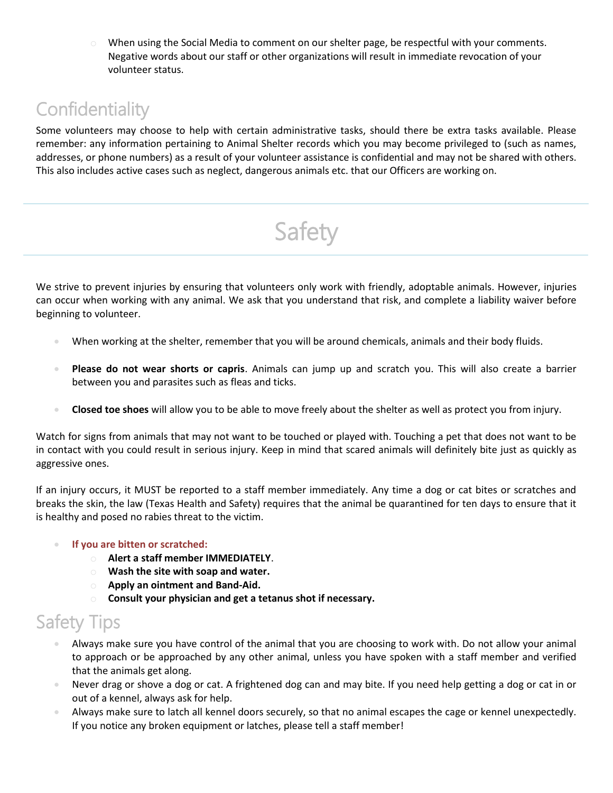$\circ$  When using the Social Media to comment on our shelter page, be respectful with your comments. Negative words about our staff or other organizations will result in immediate revocation of your volunteer status.

# **Confidentiality**

Some volunteers may choose to help with certain administrative tasks, should there be extra tasks available. Please remember: any information pertaining to Animal Shelter records which you may become privileged to (such as names, addresses, or phone numbers) as a result of your volunteer assistance is confidential and may not be shared with others. This also includes active cases such as neglect, dangerous animals etc. that our Officers are working on.

Safety

We strive to prevent injuries by ensuring that volunteers only work with friendly, adoptable animals. However, injuries can occur when working with any animal. We ask that you understand that risk, and complete a liability waiver before beginning to volunteer.

- When working at the shelter, remember that you will be around chemicals, animals and their body fluids.
- **Please do not wear shorts or capris**. Animals can jump up and scratch you. This will also create a barrier between you and parasites such as fleas and ticks.
- **Closed toe shoes** will allow you to be able to move freely about the shelter as well as protect you from injury.

Watch for signs from animals that may not want to be touched or played with. Touching a pet that does not want to be in contact with you could result in serious injury. Keep in mind that scared animals will definitely bite just as quickly as aggressive ones.

If an injury occurs, it MUST be reported to a staff member immediately. Any time a dog or cat bites or scratches and breaks the skin, the law (Texas Health and Safety) requires that the animal be quarantined for ten days to ensure that it is healthy and posed no rabies threat to the victim.

### **If you are bitten or scratched:**

- o **Alert a staff member IMMEDIATELY**.
- o **Wash the site with soap and water.**
- o **Apply an ointment and Band-Aid.**
- o **Consult your physician and get a tetanus shot if necessary.**

# Safety Tips

- Always make sure you have control of the animal that you are choosing to work with. Do not allow your animal to approach or be approached by any other animal, unless you have spoken with a staff member and verified that the animals get along.
- Never drag or shove a dog or cat. A frightened dog can and may bite. If you need help getting a dog or cat in or out of a kennel, always ask for help.
- Always make sure to latch all kennel doors securely, so that no animal escapes the cage or kennel unexpectedly. If you notice any broken equipment or latches, please tell a staff member!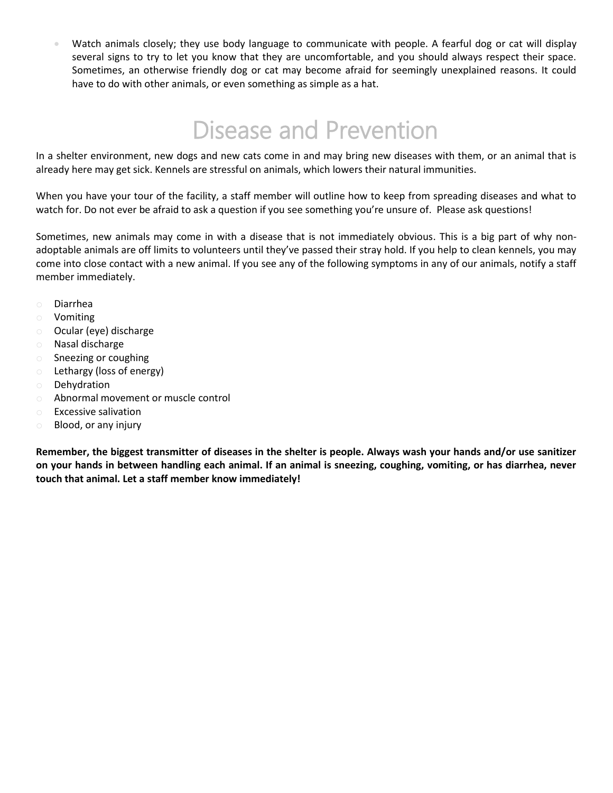Watch animals closely; they use body language to communicate with people. A fearful dog or cat will display several signs to try to let you know that they are uncomfortable, and you should always respect their space. Sometimes, an otherwise friendly dog or cat may become afraid for seemingly unexplained reasons. It could have to do with other animals, or even something as simple as a hat.

# Disease and Prevention

In a shelter environment, new dogs and new cats come in and may bring new diseases with them, or an animal that is already here may get sick. Kennels are stressful on animals, which lowers their natural immunities.

When you have your tour of the facility, a staff member will outline how to keep from spreading diseases and what to watch for. Do not ever be afraid to ask a question if you see something you're unsure of. Please ask questions!

Sometimes, new animals may come in with a disease that is not immediately obvious. This is a big part of why nonadoptable animals are off limits to volunteers until they've passed their stray hold. If you help to clean kennels, you may come into close contact with a new animal. If you see any of the following symptoms in any of our animals, notify a staff member immediately.

- o Diarrhea
- o Vomiting
- o Ocular (eye) discharge
- o Nasal discharge
- o Sneezing or coughing
- o Lethargy (loss of energy)
- o Dehydration
- o Abnormal movement or muscle control
- o Excessive salivation
- o Blood, or any injury

**Remember, the biggest transmitter of diseases in the shelter is people. Always wash your hands and/or use sanitizer on your hands in between handling each animal. If an animal is sneezing, coughing, vomiting, or has diarrhea, never touch that animal. Let a staff member know immediately!**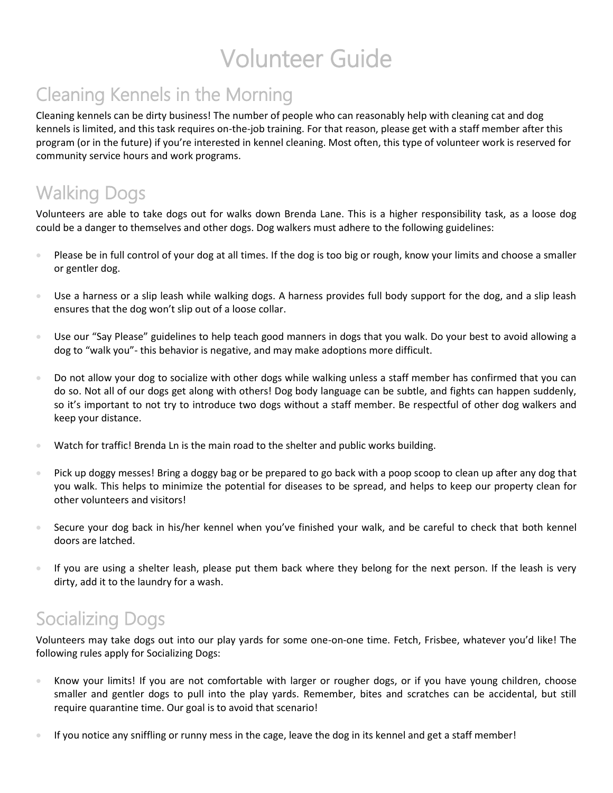# Volunteer Guide

# Cleaning Kennels in the Morning

Cleaning kennels can be dirty business! The number of people who can reasonably help with cleaning cat and dog kennels is limited, and this task requires on-the-job training. For that reason, please get with a staff member after this program (or in the future) if you're interested in kennel cleaning. Most often, this type of volunteer work is reserved for community service hours and work programs.

# Walking Dogs

Volunteers are able to take dogs out for walks down Brenda Lane. This is a higher responsibility task, as a loose dog could be a danger to themselves and other dogs. Dog walkers must adhere to the following guidelines:

- Please be in full control of your dog at all times. If the dog is too big or rough, know your limits and choose a smaller or gentler dog.
- Use a harness or a slip leash while walking dogs. A harness provides full body support for the dog, and a slip leash ensures that the dog won't slip out of a loose collar.
- Use our "Say Please" guidelines to help teach good manners in dogs that you walk. Do your best to avoid allowing a dog to "walk you"- this behavior is negative, and may make adoptions more difficult.
- Do not allow your dog to socialize with other dogs while walking unless a staff member has confirmed that you can do so. Not all of our dogs get along with others! Dog body language can be subtle, and fights can happen suddenly, so it's important to not try to introduce two dogs without a staff member. Be respectful of other dog walkers and keep your distance.
- **Watch for traffic! Brenda Ln is the main road to the shelter and public works building.**
- Pick up doggy messes! Bring a doggy bag or be prepared to go back with a poop scoop to clean up after any dog that you walk. This helps to minimize the potential for diseases to be spread, and helps to keep our property clean for other volunteers and visitors!
- Secure your dog back in his/her kennel when you've finished your walk, and be careful to check that both kennel doors are latched.
- If you are using a shelter leash, please put them back where they belong for the next person. If the leash is very dirty, add it to the laundry for a wash.

# Socializing Dogs

Volunteers may take dogs out into our play yards for some one-on-one time. Fetch, Frisbee, whatever you'd like! The following rules apply for Socializing Dogs:

- Know your limits! If you are not comfortable with larger or rougher dogs, or if you have young children, choose smaller and gentler dogs to pull into the play yards. Remember, bites and scratches can be accidental, but still require quarantine time. Our goal is to avoid that scenario!
- If you notice any sniffling or runny mess in the cage, leave the dog in its kennel and get a staff member!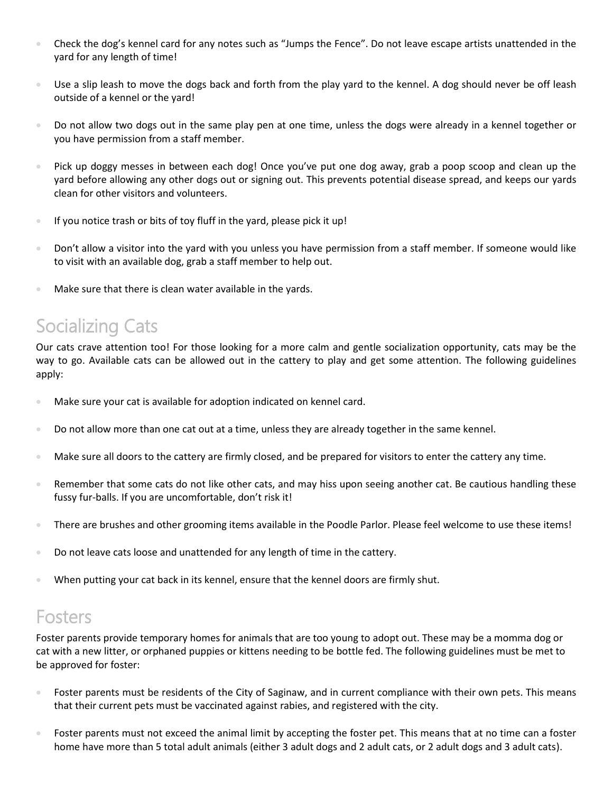- Check the dog's kennel card for any notes such as "Jumps the Fence". Do not leave escape artists unattended in the yard for any length of time!
- Use a slip leash to move the dogs back and forth from the play yard to the kennel. A dog should never be off leash outside of a kennel or the yard!
- Do not allow two dogs out in the same play pen at one time, unless the dogs were already in a kennel together or you have permission from a staff member.
- Pick up doggy messes in between each dog! Once you've put one dog away, grab a poop scoop and clean up the yard before allowing any other dogs out or signing out. This prevents potential disease spread, and keeps our yards clean for other visitors and volunteers.
- If you notice trash or bits of toy fluff in the yard, please pick it up!
- Don't allow a visitor into the yard with you unless you have permission from a staff member. If someone would like to visit with an available dog, grab a staff member to help out.
- Make sure that there is clean water available in the yards.

# Socializing Cats

Our cats crave attention too! For those looking for a more calm and gentle socialization opportunity, cats may be the way to go. Available cats can be allowed out in the cattery to play and get some attention. The following guidelines apply:

- Make sure your cat is available for adoption indicated on kennel card.
- Do not allow more than one cat out at a time, unless they are already together in the same kennel.
- Make sure all doors to the cattery are firmly closed, and be prepared for visitors to enter the cattery any time.
- **Remember that some cats do not like other cats, and may hiss upon seeing another cat. Be cautious handling these** fussy fur-balls. If you are uncomfortable, don't risk it!
- **There are brushes and other grooming items available in the Poodle Parlor. Please feel welcome to use these items!**
- Do not leave cats loose and unattended for any length of time in the cattery.
- When putting your cat back in its kennel, ensure that the kennel doors are firmly shut.

### Fosters

Foster parents provide temporary homes for animals that are too young to adopt out. These may be a momma dog or cat with a new litter, or orphaned puppies or kittens needing to be bottle fed. The following guidelines must be met to be approved for foster:

- Foster parents must be residents of the City of Saginaw, and in current compliance with their own pets. This means that their current pets must be vaccinated against rabies, and registered with the city.
- Foster parents must not exceed the animal limit by accepting the foster pet. This means that at no time can a foster home have more than 5 total adult animals (either 3 adult dogs and 2 adult cats, or 2 adult dogs and 3 adult cats).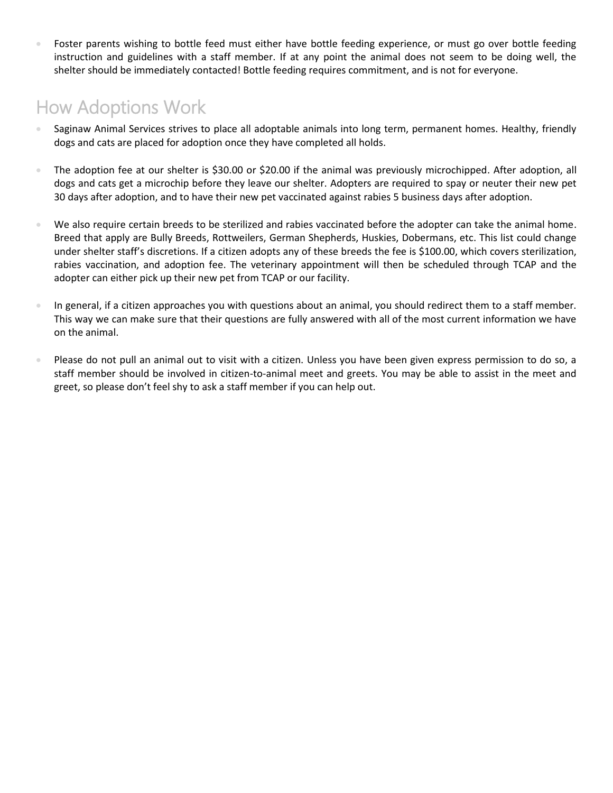Foster parents wishing to bottle feed must either have bottle feeding experience, or must go over bottle feeding instruction and guidelines with a staff member. If at any point the animal does not seem to be doing well, the shelter should be immediately contacted! Bottle feeding requires commitment, and is not for everyone.

# How Adoptions Work

- Saginaw Animal Services strives to place all adoptable animals into long term, permanent homes. Healthy, friendly dogs and cats are placed for adoption once they have completed all holds.
- The adoption fee at our shelter is \$30.00 or \$20.00 if the animal was previously microchipped. After adoption, all dogs and cats get a microchip before they leave our shelter. Adopters are required to spay or neuter their new pet 30 days after adoption, and to have their new pet vaccinated against rabies 5 business days after adoption.
- We also require certain breeds to be sterilized and rabies vaccinated before the adopter can take the animal home. Breed that apply are Bully Breeds, Rottweilers, German Shepherds, Huskies, Dobermans, etc. This list could change under shelter staff's discretions. If a citizen adopts any of these breeds the fee is \$100.00, which covers sterilization, rabies vaccination, and adoption fee. The veterinary appointment will then be scheduled through TCAP and the adopter can either pick up their new pet from TCAP or our facility.
- In general, if a citizen approaches you with questions about an animal, you should redirect them to a staff member. This way we can make sure that their questions are fully answered with all of the most current information we have on the animal.
- Please do not pull an animal out to visit with a citizen. Unless you have been given express permission to do so, a staff member should be involved in citizen-to-animal meet and greets. You may be able to assist in the meet and greet, so please don't feel shy to ask a staff member if you can help out.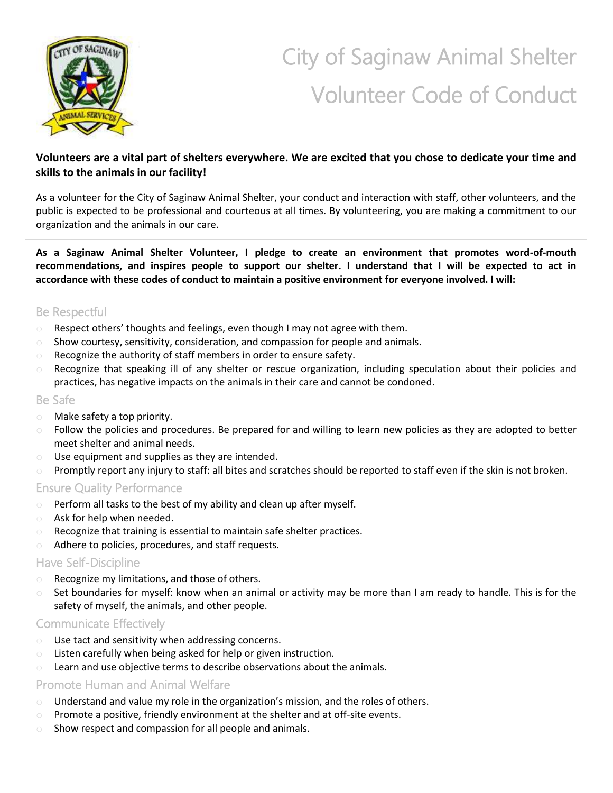

# City of Saginaw Animal Shelter Volunteer Code of Conduct

### **Volunteers are a vital part of shelters everywhere. We are excited that you chose to dedicate your time and skills to the animals in our facility!**

As a volunteer for the City of Saginaw Animal Shelter, your conduct and interaction with staff, other volunteers, and the public is expected to be professional and courteous at all times. By volunteering, you are making a commitment to our organization and the animals in our care.

**As a Saginaw Animal Shelter Volunteer, I pledge to create an environment that promotes word-of-mouth recommendations, and inspires people to support our shelter. I understand that I will be expected to act in accordance with these codes of conduct to maintain a positive environment for everyone involved. I will:**

### Be Respectful

- o Respect others' thoughts and feelings, even though I may not agree with them.
- $\circ$  Show courtesy, sensitivity, consideration, and compassion for people and animals.
- o Recognize the authority of staff members in order to ensure safety.
- o Recognize that speaking ill of any shelter or rescue organization, including speculation about their policies and practices, has negative impacts on the animals in their care and cannot be condoned.

### Be Safe

- o Make safety a top priority.
- o Follow the policies and procedures. Be prepared for and willing to learn new policies as they are adopted to better meet shelter and animal needs.
- o Use equipment and supplies as they are intended.
- o Promptly report any injury to staff: all bites and scratches should be reported to staff even if the skin is not broken.

### Ensure Quality Performance

- Perform all tasks to the best of my ability and clean up after myself.
- o Ask for help when needed.
- o Recognize that training is essential to maintain safe shelter practices.
- o Adhere to policies, procedures, and staff requests.

### Have Self-Discipline

- o Recognize my limitations, and those of others.
- o Set boundaries for myself: know when an animal or activity may be more than I am ready to handle. This is for the safety of myself, the animals, and other people.

### Communicate Effectively

- o Use tact and sensitivity when addressing concerns.
- o Listen carefully when being asked for help or given instruction.
- o Learn and use objective terms to describe observations about the animals.

### Promote Human and Animal Welfare

- $\circ$  Understand and value my role in the organization's mission, and the roles of others.
- $\circ$  Promote a positive, friendly environment at the shelter and at off-site events.
- o Show respect and compassion for all people and animals.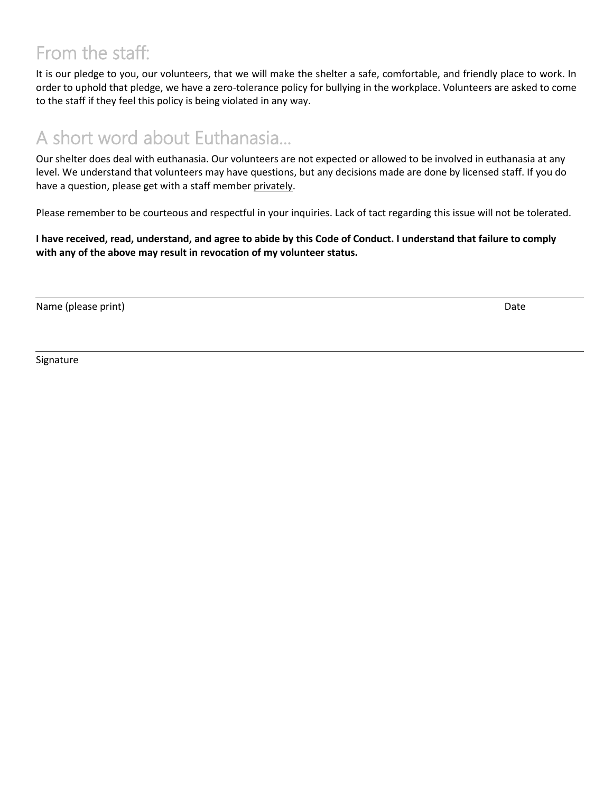# From the staff:

It is our pledge to you, our volunteers, that we will make the shelter a safe, comfortable, and friendly place to work. In order to uphold that pledge, we have a zero-tolerance policy for bullying in the workplace. Volunteers are asked to come to the staff if they feel this policy is being violated in any way.

# A short word about Euthanasia...

Our shelter does deal with euthanasia. Our volunteers are not expected or allowed to be involved in euthanasia at any level. We understand that volunteers may have questions, but any decisions made are done by licensed staff. If you do have a question, please get with a staff member privately.

Please remember to be courteous and respectful in your inquiries. Lack of tact regarding this issue will not be tolerated.

**I have received, read, understand, and agree to abide by this Code of Conduct. I understand that failure to comply with any of the above may result in revocation of my volunteer status.**

Name (please print) Date and the set of the set of the set of the set of the set of the set of the set of the set of the set of the set of the set of the set of the set of the set of the set of the set of the set of the se

Signature